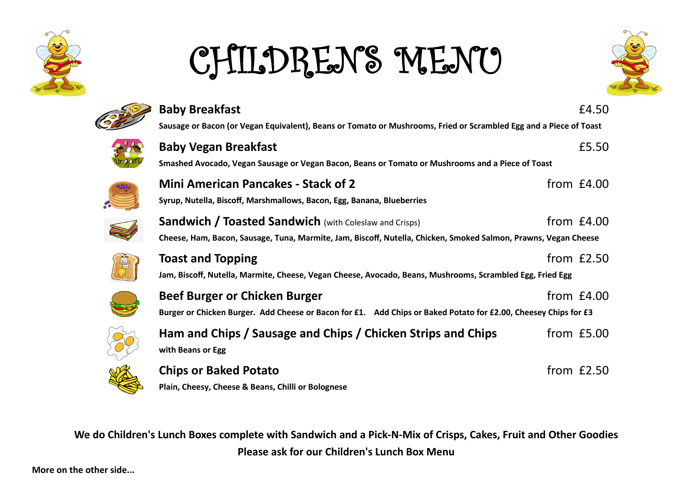

## CHILDRENS MENU





**Plain, Cheesy, Cheese & Beans, Chilli or Bolognese**

**We do Children's Lunch Boxes complete with Sandwich and a Pick-N-Mix of Crisps, Cakes, Fruit and Other Goodies Please ask for our Children's Lunch Box Menu**